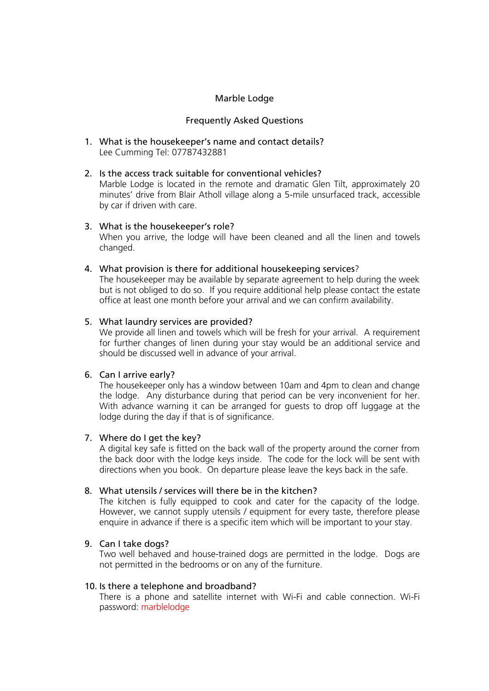## Marble Lodge

## Frequently Asked Questions

1. What is the housekeeper's name and contact details? Lee Cumming Tel: 07787432881

### 2. Is the access track suitable for conventional vehicles?

Marble Lodge is located in the remote and dramatic Glen Tilt, approximately 20 minutes' drive from Blair Atholl village along a 5-mile unsurfaced track, accessible by car if driven with care.

## 3. What is the housekeeper's role?

When you arrive, the lodge will have been cleaned and all the linen and towels changed.

4. What provision is there for additional housekeeping services?

The housekeeper may be available by separate agreement to help during the week but is not obliged to do so. If you require additional help please contact the estate office at least one month before your arrival and we can confirm availability.

## 5. What laundry services are provided?

We provide all linen and towels which will be fresh for your arrival. A requirement for further changes of linen during your stay would be an additional service and should be discussed well in advance of your arrival.

# 6. Can I arrive early?

The housekeeper only has a window between 10am and 4pm to clean and change the lodge. Any disturbance during that period can be very inconvenient for her. With advance warning it can be arranged for guests to drop off luggage at the lodge during the day if that is of significance.

# 7. Where do I get the key?

A digital key safe is fitted on the back wall of the property around the corner from the back door with the lodge keys inside. The code for the lock will be sent with directions when you book. On departure please leave the keys back in the safe.

# 8. What utensils / services will there be in the kitchen?

The kitchen is fully equipped to cook and cater for the capacity of the lodge. However, we cannot supply utensils / equipment for every taste, therefore please enquire in advance if there is a specific item which will be important to your stay.

# 9. Can I take dogs?

Two well behaved and house-trained dogs are permitted in the lodge. Dogs are not permitted in the bedrooms or on any of the furniture.

#### 10. Is there a telephone and broadband?

There is a phone and satellite internet with Wi-Fi and cable connection. Wi-Fi password: marblelodge